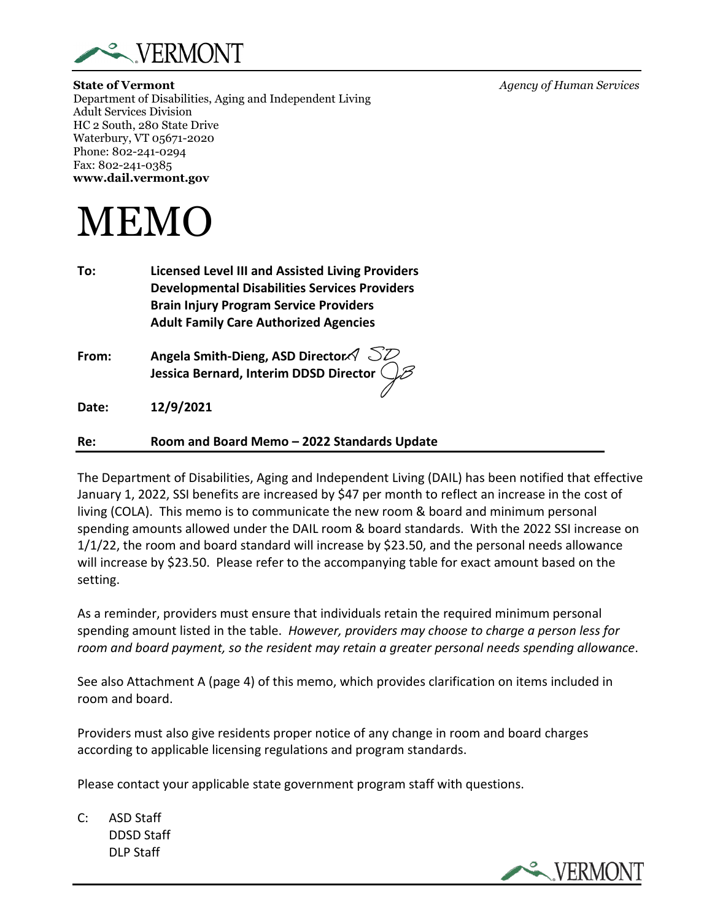

**State of Vermont** *Agency of Human Services* Department of Disabilities, Aging and Independent Living Adult Services Division HC 2 South, 280 State Drive Waterbury, VT 05671-2020 Phone: 802-241-0294 Fax: 802-241-0385 **www.dail.vermont.gov**



**To: Licensed Level III and Assisted Living Providers Developmental Disabilities Services Providers Brain Injury Program Service Providers Adult Family Care Authorized Agencies** 

**From: Angela Smith-Dieng, ASD Director Jessica Bernard, Interim DDSD Director** 

**Date: 12/9/2021**

## **Re: Room and Board Memo – 2022 Standards Update**

The Department of Disabilities, Aging and Independent Living (DAIL) has been notified that effective January 1, 2022, SSI benefits are increased by \$47 per month to reflect an increase in the cost of living (COLA). This memo is to communicate the new room & board and minimum personal spending amounts allowed under the DAIL room & board standards. With the 2022 SSI increase on 1/1/22, the room and board standard will increase by \$23.50, and the personal needs allowance will increase by \$23.50. Please refer to the accompanying table for exact amount based on the setting.

As a reminder, providers must ensure that individuals retain the required minimum personal spending amount listed in the table. *However, providers may choose to charge a person less for room and board payment, so the resident may retain a greater personal needs spending allowance*.

See also Attachment A (page 4) of this memo, which provides clarification on items included in room and board.

Providers must also give residents proper notice of any change in room and board charges according to applicable licensing regulations and program standards.

Please contact your applicable state government program staff with questions.

C: ASD Staff DDSD Staff DLP Staff



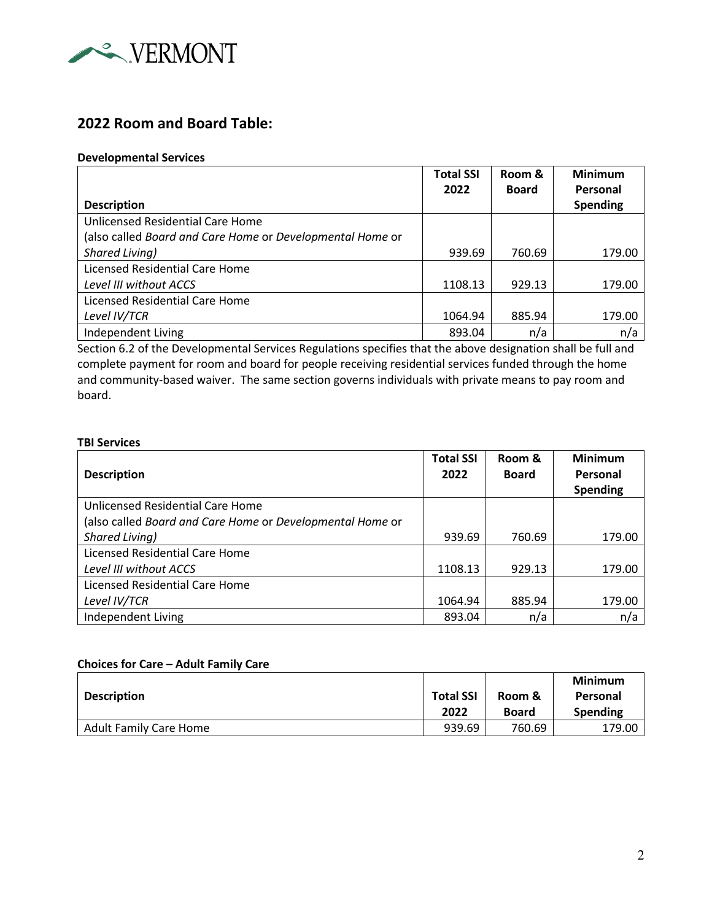

# **2022 Room and Board Table:**

#### **Developmental Services**

|                                                           | <b>Total SSI</b><br>2022 | Room &<br><b>Board</b> | <b>Minimum</b><br>Personal |
|-----------------------------------------------------------|--------------------------|------------------------|----------------------------|
| <b>Description</b>                                        |                          |                        | <b>Spending</b>            |
| Unlicensed Residential Care Home                          |                          |                        |                            |
| (also called Board and Care Home or Developmental Home or |                          |                        |                            |
| Shared Living)                                            | 939.69                   | 760.69                 | 179.00                     |
| <b>Licensed Residential Care Home</b>                     |                          |                        |                            |
| Level III without ACCS                                    | 1108.13                  | 929.13                 | 179.00                     |
| Licensed Residential Care Home                            |                          |                        |                            |
| Level IV/TCR                                              | 1064.94                  | 885.94                 | 179.00                     |
| Independent Living                                        | 893.04                   | n/a                    | n/a                        |

Section 6.2 of the Developmental Services Regulations specifies that the above designation shall be full and complete payment for room and board for people receiving residential services funded through the home and community-based waiver. The same section governs individuals with private means to pay room and board.

#### **TBI Services**

|                                                           | <b>Total SSI</b> | Room &       | <b>Minimum</b> |
|-----------------------------------------------------------|------------------|--------------|----------------|
| <b>Description</b>                                        | 2022             | <b>Board</b> | Personal       |
|                                                           |                  |              | Spending       |
| Unlicensed Residential Care Home                          |                  |              |                |
| (also called Board and Care Home or Developmental Home or |                  |              |                |
| Shared Living)                                            | 939.69           | 760.69       | 179.00         |
| Licensed Residential Care Home                            |                  |              |                |
| Level III without ACCS                                    | 1108.13          | 929.13       | 179.00         |
| <b>Licensed Residential Care Home</b>                     |                  |              |                |
| Level IV/TCR                                              | 1064.94          | 885.94       | 179.00         |
| Independent Living                                        | 893.04           | n/a          | n/a            |

#### **Choices for Care – Adult Family Care**

|                               |                  |              | <b>Minimum</b>  |
|-------------------------------|------------------|--------------|-----------------|
| <b>Description</b>            | <b>Total SSI</b> | Room &       | Personal        |
|                               | 2022             | <b>Board</b> | <b>Spending</b> |
| <b>Adult Family Care Home</b> | 939.69           | 760.69       | 179.00          |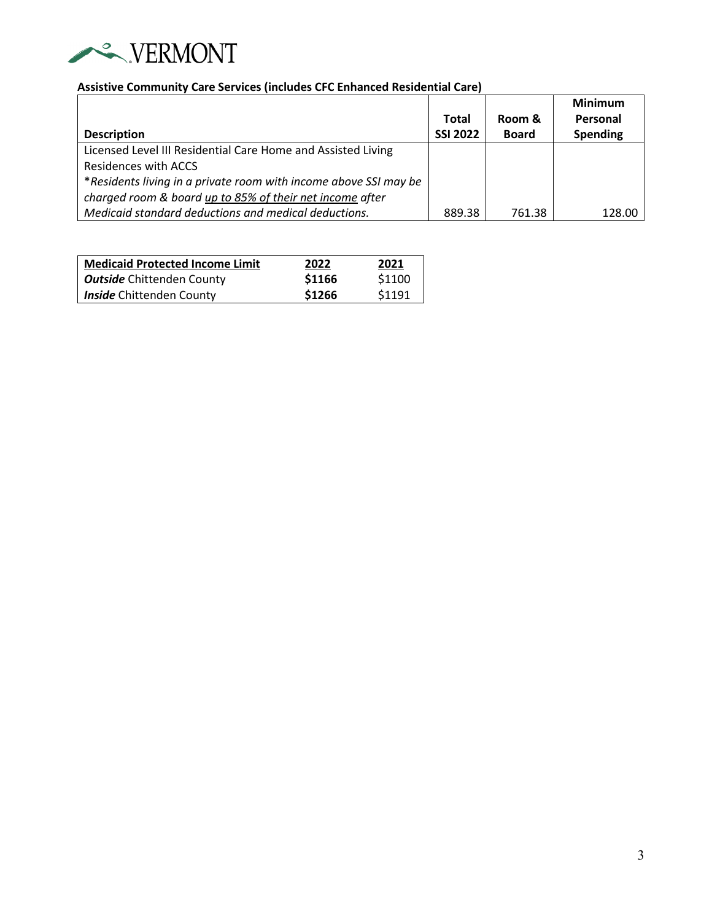

# **Assistive Community Care Services (includes CFC Enhanced Residential Care)**

|                                                                  |                 |              | <b>Minimum</b>  |
|------------------------------------------------------------------|-----------------|--------------|-----------------|
|                                                                  | Total           | Room &       | Personal        |
| <b>Description</b>                                               | <b>SSI 2022</b> | <b>Board</b> | <b>Spending</b> |
| Licensed Level III Residential Care Home and Assisted Living     |                 |              |                 |
| Residences with ACCS                                             |                 |              |                 |
| *Residents living in a private room with income above SSI may be |                 |              |                 |
| charged room & board up to 85% of their net income after         |                 |              |                 |
| Medicaid standard deductions and medical deductions.             | 889.38          | 761.38       | 128.00          |

| <b>Medicaid Protected Income Limit</b> | 2022   | 2021   |
|----------------------------------------|--------|--------|
| <b>Outside</b> Chittenden County       | \$1166 | \$1100 |
| <b>Inside</b> Chittenden County        | \$1266 | \$1191 |